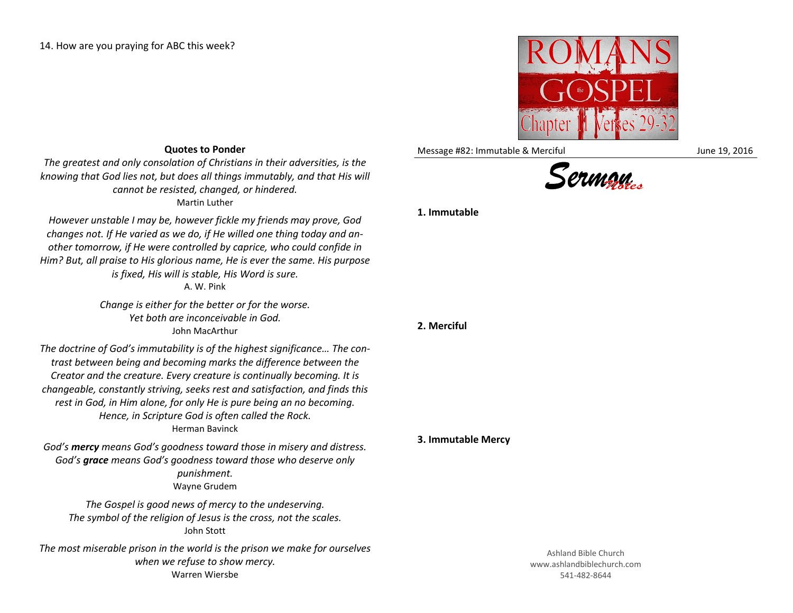

Message #82: Immutable & Merciful June 19, 2016

## **Quotes to Ponder**

*The greatest and only consolation of Christians in their adversities, is the knowing that God lies not, but does all things immutably, and that His will cannot be resisted, changed, or hindered.* Martin Luther

*However unstable I may be, however fickle my friends may prove, God changes not. If He varied as we do, if He willed one thing today and another tomorrow, if He were controlled by caprice, who could confide in Him? But, all praise to His glorious name, He is ever the same. His purpose is fixed, His will is stable, His Word is sure.* A. W. Pink

> *Change is either for the better or for the worse. Yet both are inconceivable in God.* John MacArthur

*The doctrine of God's immutability is of the highest significance… The contrast between being and becoming marks the difference between the Creator and the creature. Every creature is continually becoming. It is changeable, constantly striving, seeks rest and satisfaction, and finds this rest in God, in Him alone, for only He is pure being an no becoming. Hence, in Scripture God is often called the Rock.* Herman Bavinck

*God's mercy means God's goodness toward those in misery and distress. God's grace means God's goodness toward those who deserve only punishment.*  Wayne Grudem

*The Gospel is good news of mercy to the undeserving. The symbol of the religion of Jesus is the cross, not the scales.* John Stott

*The most miserable prison in the world is the prison we make for ourselves when we refuse to show mercy.* Warren Wiersbe

## **1. Immutable**

**2. Merciful**

## **3. Immutable Mercy**

Ashland Bible Church www.ashlandbiblechurch.com 541-482-8644